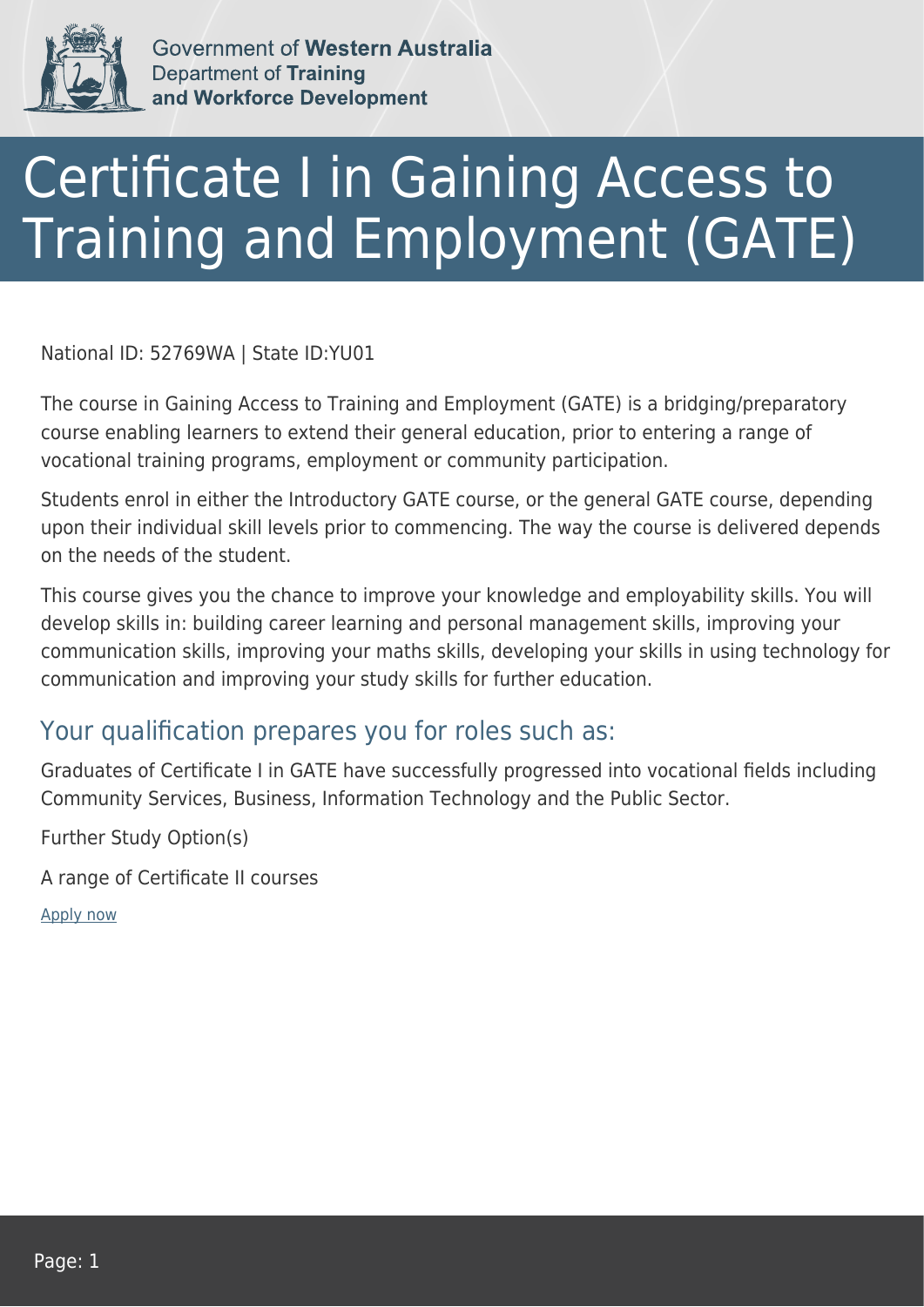

Government of Western Australia **Department of Training** and Workforce Development

## Certificate I in Gaining Access to Training and Employment (GATE)

National ID: 52769WA | State ID:YU01

The course in Gaining Access to Training and Employment (GATE) is a bridging/preparatory course enabling learners to extend their general education, prior to entering a range of vocational training programs, employment or community participation.

Students enrol in either the Introductory GATE course, or the general GATE course, depending upon their individual skill levels prior to commencing. The way the course is delivered depends on the needs of the student.

This course gives you the chance to improve your knowledge and employability skills. You will develop skills in: building career learning and personal management skills, improving your communication skills, improving your maths skills, developing your skills in using technology for communication and improving your study skills for further education.

## Your qualification prepares you for roles such as:

Graduates of Certificate I in GATE have successfully progressed into vocational fields including Community Services, Business, Information Technology and the Public Sector.

Further Study Option(s)

A range of Certificate II courses

[Apply now](https://tasonline.tafe.wa.edu.au/Default.aspx)